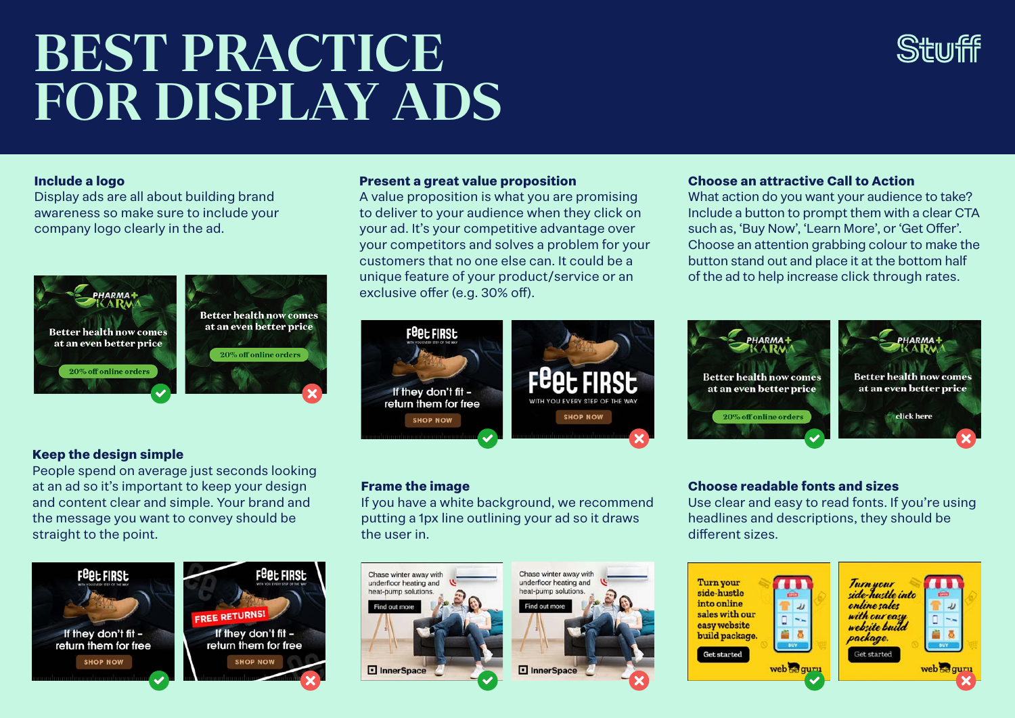# **BEST PRACTICE FOR DISPLAY ADS**

# **Include a logo**

Display ads are all about building brand awareness so make sure to include your company logo clearly in the ad.



# **Keep the design simple**

People spend on average just seconds looking at an ad so it's important to keep your design and content clear and simple. Your brand and the message you want to convey should be straight to the point.



#### **Present a great value proposition**

A value proposition is what you are promising to deliver to your audience when they click on your ad. It's your competitive advantage over your competitors and solves a problem for your customers that no one else can. It could be a unique feature of your product/service or an exclusive offer (e.g. 30% off).



# **Frame the image**

If you have a white background, we recommend putting a 1px line outlining your ad so it draws the user in.





### **Choose an attractive Call to Action**

What action do you want your audience to take? Include a button to prompt them with a clear CTA such as, 'Buy Now', 'Learn More', or 'Get Offer'. Choose an attention grabbing colour to make the button stand out and place it at the bottom half of the ad to help increase click through rates.



#### **Choose readable fonts and sizes**

Use clear and easy to read fonts. If you're using headlines and descriptions, they should be different sizes.